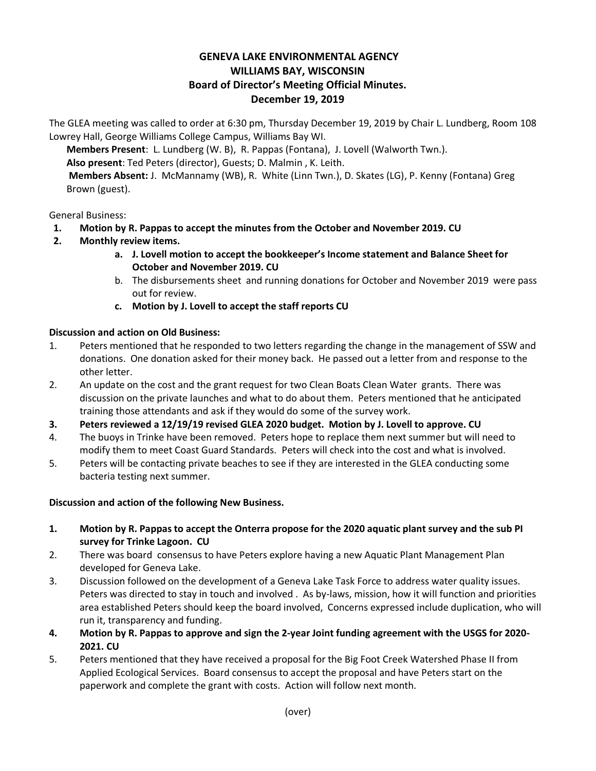## **GENEVA LAKE ENVIRONMENTAL AGENCY WILLIAMS BAY, WISCONSIN Board of Director's Meeting Official Minutes. December 19, 2019**

The GLEA meeting was called to order at 6:30 pm, Thursday December 19, 2019 by Chair L. Lundberg, Room 108 Lowrey Hall, George Williams College Campus, Williams Bay WI.

**Members Present**: L. Lundberg (W. B), R. Pappas (Fontana), J. Lovell (Walworth Twn.). **Also present**: Ted Peters (director), Guests; D. Malmin , K. Leith. **Members Absent:** J. McMannamy (WB), R. White (Linn Twn.), D. Skates (LG), P. Kenny (Fontana) Greg Brown (guest).

## General Business:

- **1. Motion by R. Pappas to accept the minutes from the October and November 2019. CU**
- **2. Monthly review items.**
	- **a. J. Lovell motion to accept the bookkeeper's Income statement and Balance Sheet for October and November 2019. CU**
	- b. The disbursements sheet and running donations for October and November 2019 were pass out for review.
	- **c. Motion by J. Lovell to accept the staff reports CU**

## **Discussion and action on Old Business:**

- 1. Peters mentioned that he responded to two letters regarding the change in the management of SSW and donations. One donation asked for their money back. He passed out a letter from and response to the other letter.
- 2. An update on the cost and the grant request for two Clean Boats Clean Water grants. There was discussion on the private launches and what to do about them. Peters mentioned that he anticipated training those attendants and ask if they would do some of the survey work.
- **3. Peters reviewed a 12/19/19 revised GLEA 2020 budget. Motion by J. Lovell to approve. CU**
- 4. The buoys in Trinke have been removed. Peters hope to replace them next summer but will need to modify them to meet Coast Guard Standards. Peters will check into the cost and what is involved.
- 5. Peters will be contacting private beaches to see if they are interested in the GLEA conducting some bacteria testing next summer.

## **Discussion and action of the following New Business.**

- **1. Motion by R. Pappas to accept the Onterra propose for the 2020 aquatic plant survey and the sub PI survey for Trinke Lagoon. CU**
- 2. There was board consensus to have Peters explore having a new Aquatic Plant Management Plan developed for Geneva Lake.
- 3. Discussion followed on the development of a Geneva Lake Task Force to address water quality issues. Peters was directed to stay in touch and involved . As by-laws, mission, how it will function and priorities area established Peters should keep the board involved, Concerns expressed include duplication, who will run it, transparency and funding.
- **4. Motion by R. Pappas to approve and sign the 2-year Joint funding agreement with the USGS for 2020- 2021. CU**
- 5. Peters mentioned that they have received a proposal for the Big Foot Creek Watershed Phase II from Applied Ecological Services. Board consensus to accept the proposal and have Peters start on the paperwork and complete the grant with costs. Action will follow next month.